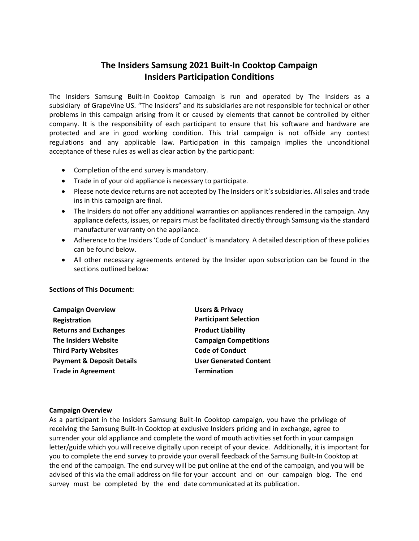# **The Insiders Samsung 2021 Built-In Cooktop Campaign Insiders Participation Conditions**

The Insiders Samsung Built-In Cooktop Campaign is run and operated by The Insiders as a subsidiary of GrapeVine US. "The Insiders" and its subsidiaries are not responsible for technical or other problems in this campaign arising from it or caused by elements that cannot be controlled by either company. It is the responsibility of each participant to ensure that his software and hardware are protected and are in good working condition. This trial campaign is not offside any contest regulations and any applicable law. Participation in this campaign implies the unconditional acceptance of these rules as well as clear action by the participant:

- Completion of the end survey is mandatory.
- Trade in of your old appliance is necessary to participate.
- Please note device returns are not accepted by The Insiders or it's subsidiaries. All sales and trade ins in this campaign are final.
- The Insiders do not offer any additional warranties on appliances rendered in the campaign. Any appliance defects, issues, or repairs must be facilitated directly through Samsung via the standard manufacturer warranty on the appliance.
- Adherence to the Insiders 'Code of Conduct' is mandatory. A detailed description of these policies can be found below.
- All other necessary agreements entered by the Insider upon subscription can be found in the sections outlined below:

## **Sections of This Document:**

| <b>Campaign Overview</b>             | <b>Users &amp; Privacy</b>    |
|--------------------------------------|-------------------------------|
| Registration                         | <b>Participant Selection</b>  |
| <b>Returns and Exchanges</b>         | <b>Product Liability</b>      |
| <b>The Insiders Website</b>          | <b>Campaign Competitions</b>  |
| <b>Third Party Websites</b>          | <b>Code of Conduct</b>        |
| <b>Payment &amp; Deposit Details</b> | <b>User Generated Content</b> |
| <b>Trade in Agreement</b>            | <b>Termination</b>            |

## **Campaign Overview**

As a participant in the Insiders Samsung Built-In Cooktop campaign, you have the privilege of receiving the Samsung Built-In Cooktop at exclusive Insiders pricing and in exchange, agree to surrender your old appliance and complete the word of mouth activities set forth in your campaign letter/guide which you will receive digitally upon receipt of your device. Additionally, it is important for you to complete the end survey to provide your overall feedback of the Samsung Built-In Cooktop at the end of the campaign. The end survey will be put online at the end of the campaign, and you will be advised of this via the email address on file for your account and on our campaign blog. The end survey must be completed by the end date communicated at its publication.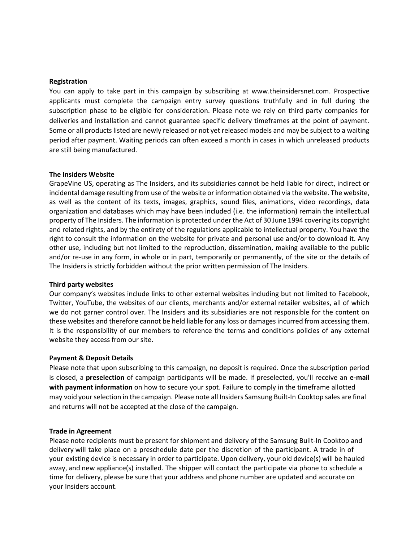#### **Registration**

You can apply to take part in this campaign by subscribing at www.theinsidersnet.com. Prospective applicants must complete the campaign entry survey questions truthfully and in full during the subscription phase to be eligible for consideration. Please note we rely on third party companies for deliveries and installation and cannot guarantee specific delivery timeframes at the point of payment. Some or all products listed are newly released or not yet released models and may be subject to a waiting period after payment. Waiting periods can often exceed a month in cases in which unreleased products are still being manufactured.

#### **The Insiders Website**

GrapeVine US, operating as The Insiders, and its subsidiaries cannot be held liable for direct, indirect or incidental damage resulting from use of the website or information obtained via the website. The website, as well as the content of its texts, images, graphics, sound files, animations, video recordings, data organization and databases which may have been included (i.e. the information) remain the intellectual property of The Insiders. The information is protected under the Act of 30 June 1994 covering its copyright and related rights, and by the entirety of the regulations applicable to intellectual property. You have the right to consult the information on the website for private and personal use and/or to download it. Any other use, including but not limited to the reproduction, dissemination, making available to the public and/or re-use in any form, in whole or in part, temporarily or permanently, of the site or the details of The Insiders is strictly forbidden without the prior written permission of The Insiders.

#### **Third party websites**

Our company's websites include links to other external websites including but not limited to Facebook, Twitter, YouTube, the websites of our clients, merchants and/or external retailer websites, all of which we do not garner control over. The Insiders and its subsidiaries are not responsible for the content on these websites and therefore cannot be held liable for any loss or damages incurred from accessing them. It is the responsibility of our members to reference the terms and conditions policies of any external website they access from our site.

## **Payment & Deposit Details**

Please note that upon subscribing to this campaign, no deposit is required. Once the subscription period is closed, a **preselection** of campaign participants will be made. If preselected, you'll receive an **e-mail with payment information** on how to secure your spot. Failure to comply in the timeframe allotted may void your selection in the campaign. Please note all Insiders Samsung Built-In Cooktop sales are final and returns will not be accepted at the close of the campaign.

#### **Trade in Agreement**

Please note recipients must be present for shipment and delivery of the Samsung Built-In Cooktop and delivery will take place on a preschedule date per the discretion of the participant. A trade in of your existing device is necessary in order to participate. Upon delivery, your old device(s) will be hauled away, and new appliance(s) installed. The shipper will contact the participate via phone to schedule a time for delivery, please be sure that your address and phone number are updated and accurate on your Insiders account.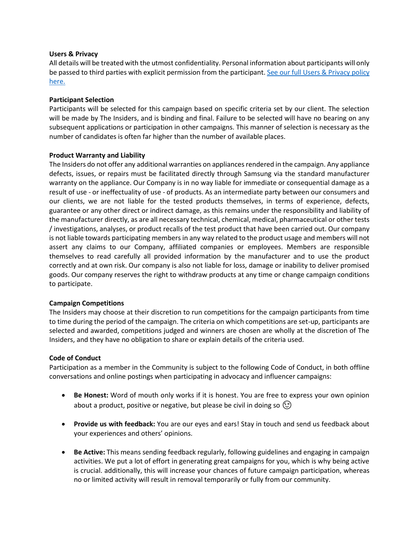## **Users & Privacy**

All details will be treated with the utmost confidentiality. Personal information about participants will only be passed to third parties with explicit permission from the participant[. See our full Users & Privacy policy](http://www.theinsidersnet.com/info/privacy/11/)  [here.](http://www.theinsidersnet.com/info/privacy/11/)

# **Participant Selection**

Participants will be selected for this campaign based on specific criteria set by our client. The selection will be made by The Insiders, and is binding and final. Failure to be selected will have no bearing on any subsequent applications or participation in other campaigns. This manner of selection is necessary as the number of candidates is often far higher than the number of available places.

## **Product Warranty and Liability**

The Insiders do not offer any additional warranties on appliances rendered in the campaign. Any appliance defects, issues, or repairs must be facilitated directly through Samsung via the standard manufacturer warranty on the appliance. Our Company is in no way liable for immediate or consequential damage as a result of use - or ineffectuality of use - of products. As an intermediate party between our consumers and our clients, we are not liable for the tested products themselves, in terms of experience, defects, guarantee or any other direct or indirect damage, as this remains under the responsibility and liability of the manufacturer directly, as are all necessary technical, chemical, medical, pharmaceutical or other tests / investigations, analyses, or product recalls of the test product that have been carried out. Our company is not liable towards participating members in any way related to the product usage and members will not assert any claims to our Company, affiliated companies or employees. Members are responsible themselves to read carefully all provided information by the manufacturer and to use the product correctly and at own risk. Our company is also not liable for loss, damage or inability to deliver promised goods. Our company reserves the right to withdraw products at any time or change campaign conditions to participate.

# **Campaign Competitions**

The Insiders may choose at their discretion to run competitions for the campaign participants from time to time during the period of the campaign. The criteria on which competitions are set-up, participants are selected and awarded, competitions judged and winners are chosen are wholly at the discretion of The Insiders, and they have no obligation to share or explain details of the criteria used.

## **Code of Conduct**

Participation as a member in the Community is subject to the following Code of Conduct, in both offline conversations and online postings when participating in advocacy and influencer campaigns:

- **Be Honest:** Word of mouth only works if it is honest. You are free to express your own opinion about a product, positive or negative, but please be civil in doing so  $\textcircled{\small{?}}$
- **Provide us with feedback:** You are our eyes and ears! Stay in touch and send us feedback about your experiences and others' opinions.
- **Be Active:** This means sending feedback regularly, following guidelines and engaging in campaign activities. We put a lot of effort in generating great campaigns for you, which is why being active is crucial. additionally, this will increase your chances of future campaign participation, whereas no or limited activity will result in removal temporarily or fully from our community.